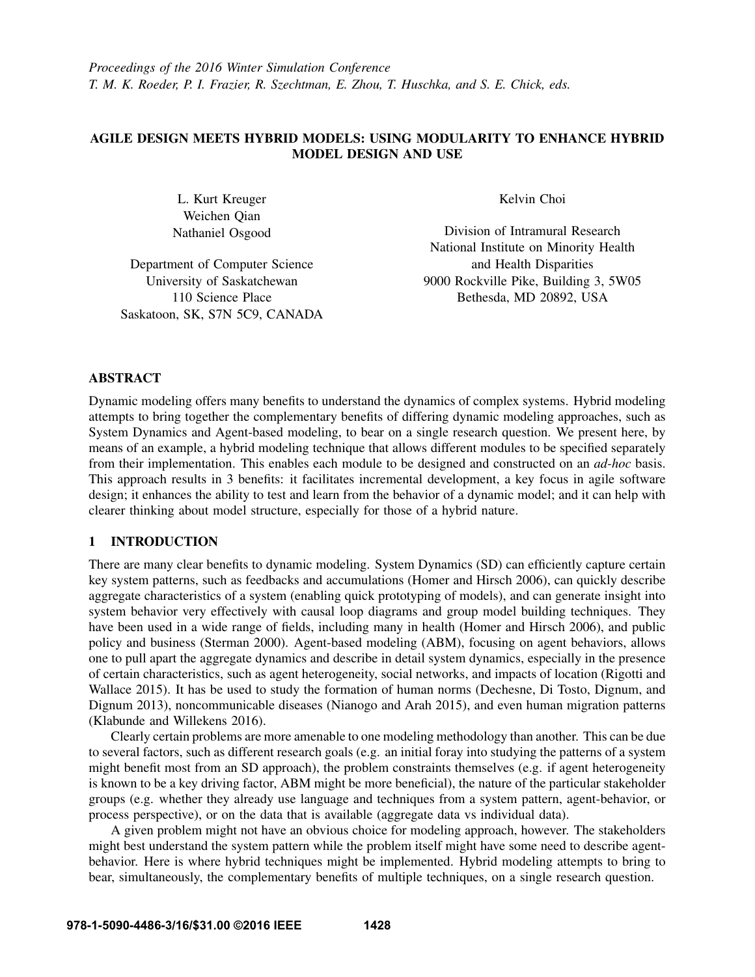# AGILE DESIGN MEETS HYBRID MODELS: USING MODULARITY TO ENHANCE HYBRID MODEL DESIGN AND USE

L. Kurt Kreuger Weichen Qian Nathaniel Osgood

Department of Computer Science University of Saskatchewan 110 Science Place Saskatoon, SK, S7N 5C9, CANADA Kelvin Choi

Division of Intramural Research National Institute on Minority Health and Health Disparities 9000 Rockville Pike, Building 3, 5W05 Bethesda, MD 20892, USA

## ABSTRACT

Dynamic modeling offers many benefits to understand the dynamics of complex systems. Hybrid modeling attempts to bring together the complementary benefits of differing dynamic modeling approaches, such as System Dynamics and Agent-based modeling, to bear on a single research question. We present here, by means of an example, a hybrid modeling technique that allows different modules to be specified separately from their implementation. This enables each module to be designed and constructed on an *ad-hoc* basis. This approach results in 3 benefits: it facilitates incremental development, a key focus in agile software design; it enhances the ability to test and learn from the behavior of a dynamic model; and it can help with clearer thinking about model structure, especially for those of a hybrid nature.

### 1 INTRODUCTION

There are many clear benefits to dynamic modeling. System Dynamics (SD) can efficiently capture certain key system patterns, such as feedbacks and accumulations (Homer and Hirsch 2006), can quickly describe aggregate characteristics of a system (enabling quick prototyping of models), and can generate insight into system behavior very effectively with causal loop diagrams and group model building techniques. They have been used in a wide range of fields, including many in health (Homer and Hirsch 2006), and public policy and business (Sterman 2000). Agent-based modeling (ABM), focusing on agent behaviors, allows one to pull apart the aggregate dynamics and describe in detail system dynamics, especially in the presence of certain characteristics, such as agent heterogeneity, social networks, and impacts of location (Rigotti and Wallace 2015). It has be used to study the formation of human norms (Dechesne, Di Tosto, Dignum, and Dignum 2013), noncommunicable diseases (Nianogo and Arah 2015), and even human migration patterns (Klabunde and Willekens 2016).

Clearly certain problems are more amenable to one modeling methodology than another. This can be due to several factors, such as different research goals (e.g. an initial foray into studying the patterns of a system might benefit most from an SD approach), the problem constraints themselves (e.g. if agent heterogeneity is known to be a key driving factor, ABM might be more beneficial), the nature of the particular stakeholder groups (e.g. whether they already use language and techniques from a system pattern, agent-behavior, or process perspective), or on the data that is available (aggregate data vs individual data).

A given problem might not have an obvious choice for modeling approach, however. The stakeholders might best understand the system pattern while the problem itself might have some need to describe agentbehavior. Here is where hybrid techniques might be implemented. Hybrid modeling attempts to bring to bear, simultaneously, the complementary benefits of multiple techniques, on a single research question.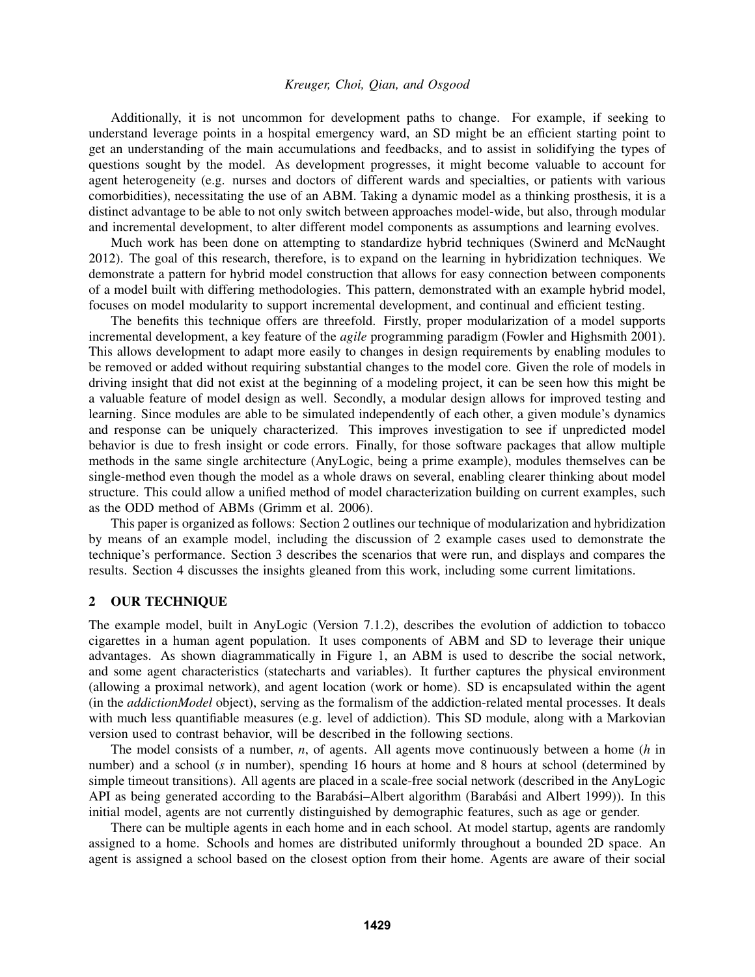Additionally, it is not uncommon for development paths to change. For example, if seeking to understand leverage points in a hospital emergency ward, an SD might be an efficient starting point to get an understanding of the main accumulations and feedbacks, and to assist in solidifying the types of questions sought by the model. As development progresses, it might become valuable to account for agent heterogeneity (e.g. nurses and doctors of different wards and specialties, or patients with various comorbidities), necessitating the use of an ABM. Taking a dynamic model as a thinking prosthesis, it is a distinct advantage to be able to not only switch between approaches model-wide, but also, through modular and incremental development, to alter different model components as assumptions and learning evolves.

Much work has been done on attempting to standardize hybrid techniques (Swinerd and McNaught 2012). The goal of this research, therefore, is to expand on the learning in hybridization techniques. We demonstrate a pattern for hybrid model construction that allows for easy connection between components of a model built with differing methodologies. This pattern, demonstrated with an example hybrid model, focuses on model modularity to support incremental development, and continual and efficient testing.

The benefits this technique offers are threefold. Firstly, proper modularization of a model supports incremental development, a key feature of the *agile* programming paradigm (Fowler and Highsmith 2001). This allows development to adapt more easily to changes in design requirements by enabling modules to be removed or added without requiring substantial changes to the model core. Given the role of models in driving insight that did not exist at the beginning of a modeling project, it can be seen how this might be a valuable feature of model design as well. Secondly, a modular design allows for improved testing and learning. Since modules are able to be simulated independently of each other, a given module's dynamics and response can be uniquely characterized. This improves investigation to see if unpredicted model behavior is due to fresh insight or code errors. Finally, for those software packages that allow multiple methods in the same single architecture (AnyLogic, being a prime example), modules themselves can be single-method even though the model as a whole draws on several, enabling clearer thinking about model structure. This could allow a unified method of model characterization building on current examples, such as the ODD method of ABMs (Grimm et al. 2006).

This paper is organized as follows: Section 2 outlines our technique of modularization and hybridization by means of an example model, including the discussion of 2 example cases used to demonstrate the technique's performance. Section 3 describes the scenarios that were run, and displays and compares the results. Section 4 discusses the insights gleaned from this work, including some current limitations.

### 2 OUR TECHNIQUE

The example model, built in AnyLogic (Version 7.1.2), describes the evolution of addiction to tobacco cigarettes in a human agent population. It uses components of ABM and SD to leverage their unique advantages. As shown diagrammatically in Figure 1, an ABM is used to describe the social network, and some agent characteristics (statecharts and variables). It further captures the physical environment (allowing a proximal network), and agent location (work or home). SD is encapsulated within the agent (in the *addictionModel* object), serving as the formalism of the addiction-related mental processes. It deals with much less quantifiable measures (e.g. level of addiction). This SD module, along with a Markovian version used to contrast behavior, will be described in the following sections.

The model consists of a number, *n*, of agents. All agents move continuously between a home (*h* in number) and a school (*s* in number), spending 16 hours at home and 8 hours at school (determined by simple timeout transitions). All agents are placed in a scale-free social network (described in the AnyLogic API as being generated according to the Barabási–Albert algorithm (Barabási and Albert 1999)). In this initial model, agents are not currently distinguished by demographic features, such as age or gender.

There can be multiple agents in each home and in each school. At model startup, agents are randomly assigned to a home. Schools and homes are distributed uniformly throughout a bounded 2D space. An agent is assigned a school based on the closest option from their home. Agents are aware of their social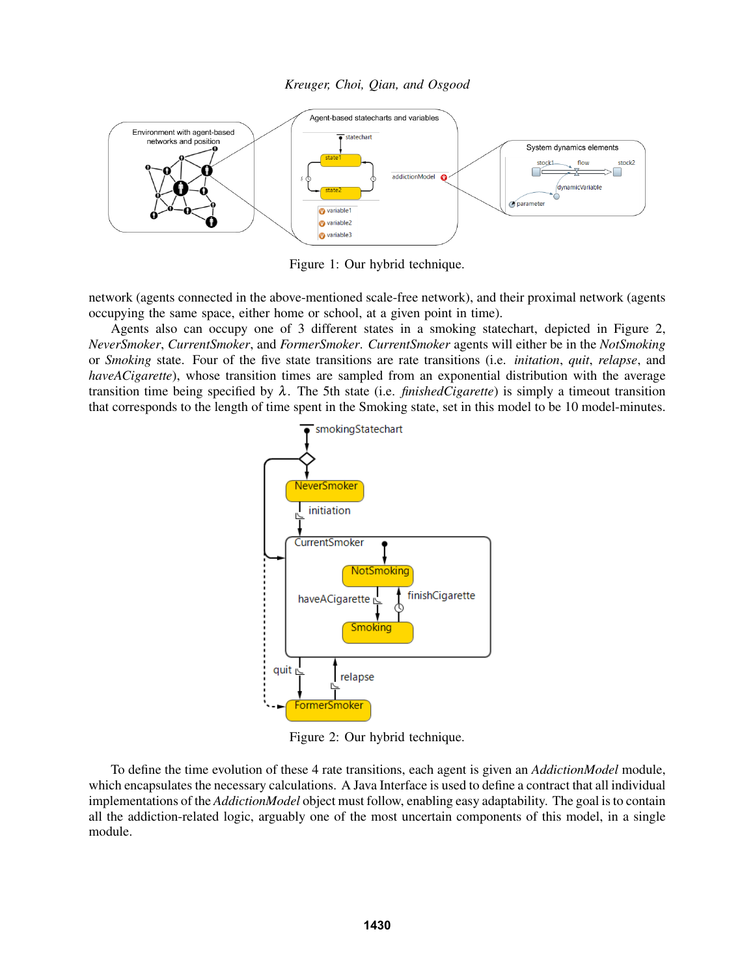*Kreuger, Choi, Qian, and Osgood*



Figure 1: Our hybrid technique.

network (agents connected in the above-mentioned scale-free network), and their proximal network (agents occupying the same space, either home or school, at a given point in time).

Agents also can occupy one of 3 different states in a smoking statechart, depicted in Figure 2, *NeverSmoker*, *CurrentSmoker*, and *FormerSmoker*. *CurrentSmoker* agents will either be in the *NotSmoking* or *Smoking* state. Four of the five state transitions are rate transitions (i.e. *initation*, *quit*, *relapse*, and *haveACigarette*), whose transition times are sampled from an exponential distribution with the average transition time being specified by  $\lambda$ . The 5th state (i.e. *finishedCigarette*) is simply a timeout transition that corresponds to the length of time spent in the Smoking state, set in this model to be 10 model-minutes.



Figure 2: Our hybrid technique.

To define the time evolution of these 4 rate transitions, each agent is given an *AddictionModel* module, which encapsulates the necessary calculations. A Java Interface is used to define a contract that all individual implementations of the *AddictionModel* object must follow, enabling easy adaptability. The goal is to contain all the addiction-related logic, arguably one of the most uncertain components of this model, in a single module.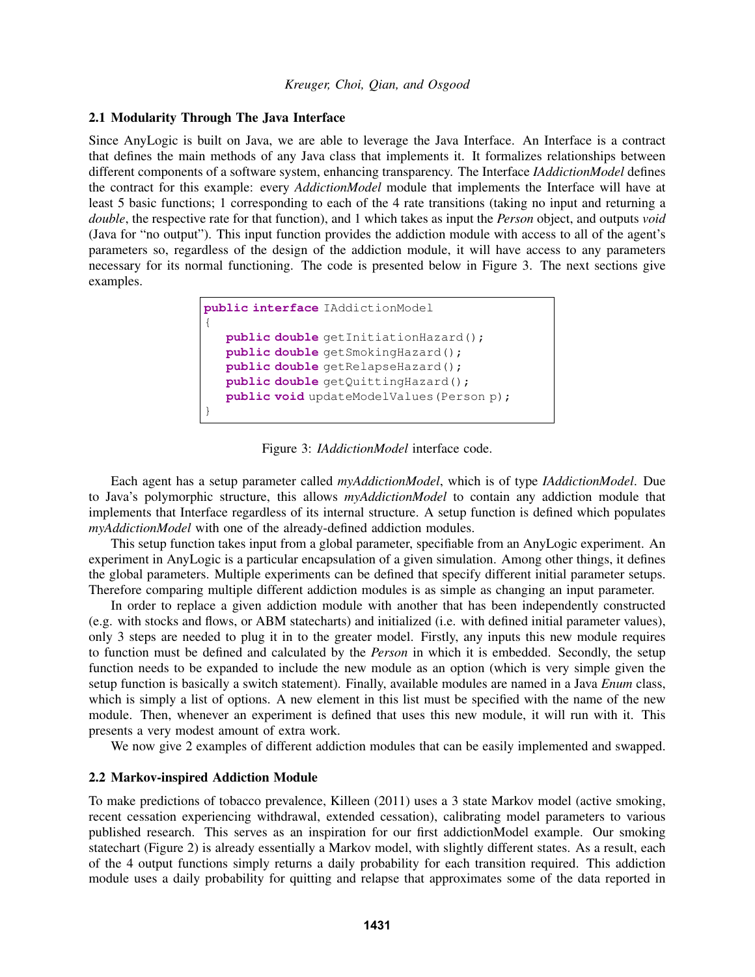### 2.1 Modularity Through The Java Interface

Since AnyLogic is built on Java, we are able to leverage the Java Interface. An Interface is a contract that defines the main methods of any Java class that implements it. It formalizes relationships between different components of a software system, enhancing transparency. The Interface *IAddictionModel* defines the contract for this example: every *AddictionModel* module that implements the Interface will have at least 5 basic functions; 1 corresponding to each of the 4 rate transitions (taking no input and returning a *double*, the respective rate for that function), and 1 which takes as input the *Person* object, and outputs *void* (Java for "no output"). This input function provides the addiction module with access to all of the agent's parameters so, regardless of the design of the addiction module, it will have access to any parameters necessary for its normal functioning. The code is presented below in Figure 3. The next sections give examples.

```
public interface IAddictionModel
{
  public double getInitiationHazard();
  public double getSmokingHazard();
  public double getRelapseHazard();
  public double getQuittingHazard();
  public void updateModelValues(Person p);
}
```
Figure 3: *IAddictionModel* interface code.

Each agent has a setup parameter called *myAddictionModel*, which is of type *IAddictionModel*. Due to Java's polymorphic structure, this allows *myAddictionModel* to contain any addiction module that implements that Interface regardless of its internal structure. A setup function is defined which populates *myAddictionModel* with one of the already-defined addiction modules.

This setup function takes input from a global parameter, specifiable from an AnyLogic experiment. An experiment in AnyLogic is a particular encapsulation of a given simulation. Among other things, it defines the global parameters. Multiple experiments can be defined that specify different initial parameter setups. Therefore comparing multiple different addiction modules is as simple as changing an input parameter.

In order to replace a given addiction module with another that has been independently constructed (e.g. with stocks and flows, or ABM statecharts) and initialized (i.e. with defined initial parameter values), only 3 steps are needed to plug it in to the greater model. Firstly, any inputs this new module requires to function must be defined and calculated by the *Person* in which it is embedded. Secondly, the setup function needs to be expanded to include the new module as an option (which is very simple given the setup function is basically a switch statement). Finally, available modules are named in a Java *Enum* class, which is simply a list of options. A new element in this list must be specified with the name of the new module. Then, whenever an experiment is defined that uses this new module, it will run with it. This presents a very modest amount of extra work.

We now give 2 examples of different addiction modules that can be easily implemented and swapped.

## 2.2 Markov-inspired Addiction Module

To make predictions of tobacco prevalence, Killeen (2011) uses a 3 state Markov model (active smoking, recent cessation experiencing withdrawal, extended cessation), calibrating model parameters to various published research. This serves as an inspiration for our first addictionModel example. Our smoking statechart (Figure 2) is already essentially a Markov model, with slightly different states. As a result, each of the 4 output functions simply returns a daily probability for each transition required. This addiction module uses a daily probability for quitting and relapse that approximates some of the data reported in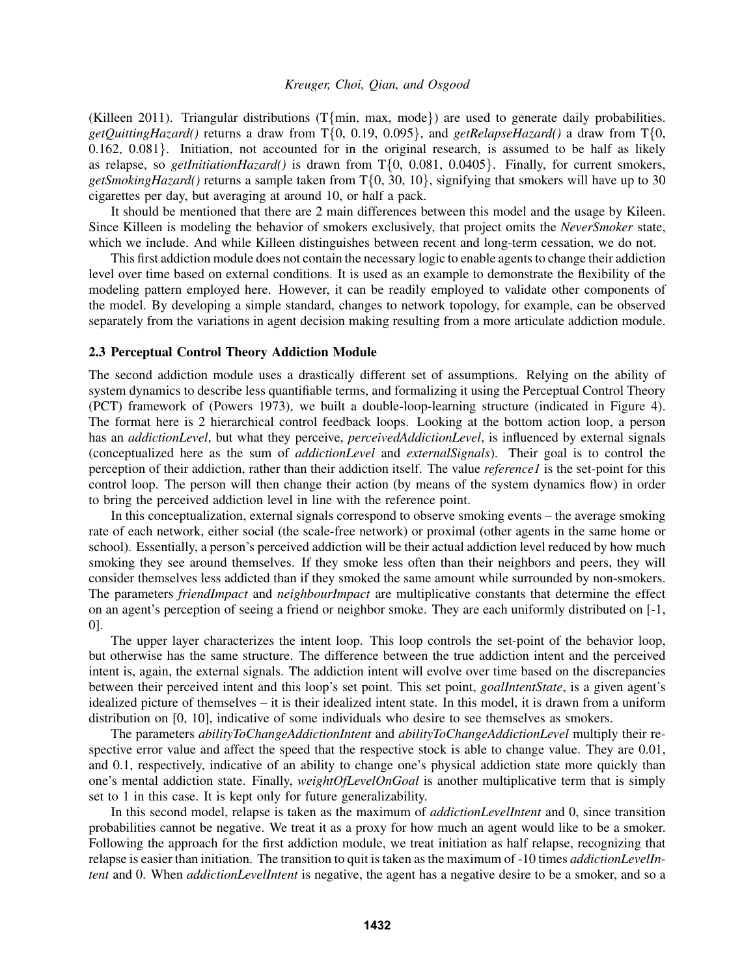(Killeen 2011). Triangular distributions (T{min, max, mode}) are used to generate daily probabilities. *getQuittingHazard()* returns a draw from T{0, 0.19, 0.095}, and *getRelapseHazard()* a draw from T{0, 0.162, 0.081}. Initiation, not accounted for in the original research, is assumed to be half as likely as relapse, so *getInitiationHazard()* is drawn from T{0, 0.081, 0.0405}. Finally, for current smokers, *getSmokingHazard()* returns a sample taken from T{0, 30, 10}, signifying that smokers will have up to 30 cigarettes per day, but averaging at around 10, or half a pack.

It should be mentioned that there are 2 main differences between this model and the usage by Kileen. Since Killeen is modeling the behavior of smokers exclusively, that project omits the *NeverSmoker* state, which we include. And while Killeen distinguishes between recent and long-term cessation, we do not.

This first addiction module does not contain the necessary logic to enable agents to change their addiction level over time based on external conditions. It is used as an example to demonstrate the flexibility of the modeling pattern employed here. However, it can be readily employed to validate other components of the model. By developing a simple standard, changes to network topology, for example, can be observed separately from the variations in agent decision making resulting from a more articulate addiction module.

### 2.3 Perceptual Control Theory Addiction Module

The second addiction module uses a drastically different set of assumptions. Relying on the ability of system dynamics to describe less quantifiable terms, and formalizing it using the Perceptual Control Theory (PCT) framework of (Powers 1973), we built a double-loop-learning structure (indicated in Figure 4). The format here is 2 hierarchical control feedback loops. Looking at the bottom action loop, a person has an *addictionLevel*, but what they perceive, *perceivedAddictionLevel*, is influenced by external signals (conceptualized here as the sum of *addictionLevel* and *externalSignals*). Their goal is to control the perception of their addiction, rather than their addiction itself. The value *reference1* is the set-point for this control loop. The person will then change their action (by means of the system dynamics flow) in order to bring the perceived addiction level in line with the reference point.

In this conceptualization, external signals correspond to observe smoking events – the average smoking rate of each network, either social (the scale-free network) or proximal (other agents in the same home or school). Essentially, a person's perceived addiction will be their actual addiction level reduced by how much smoking they see around themselves. If they smoke less often than their neighbors and peers, they will consider themselves less addicted than if they smoked the same amount while surrounded by non-smokers. The parameters *friendImpact* and *neighbourImpact* are multiplicative constants that determine the effect on an agent's perception of seeing a friend or neighbor smoke. They are each uniformly distributed on [-1, 0].

The upper layer characterizes the intent loop. This loop controls the set-point of the behavior loop, but otherwise has the same structure. The difference between the true addiction intent and the perceived intent is, again, the external signals. The addiction intent will evolve over time based on the discrepancies between their perceived intent and this loop's set point. This set point, *goalIntentState*, is a given agent's idealized picture of themselves – it is their idealized intent state. In this model, it is drawn from a uniform distribution on [0, 10], indicative of some individuals who desire to see themselves as smokers.

The parameters *abilityToChangeAddictionIntent* and *abilityToChangeAddictionLevel* multiply their respective error value and affect the speed that the respective stock is able to change value. They are 0.01, and 0.1, respectively, indicative of an ability to change one's physical addiction state more quickly than one's mental addiction state. Finally, *weightOfLevelOnGoal* is another multiplicative term that is simply set to 1 in this case. It is kept only for future generalizability.

In this second model, relapse is taken as the maximum of *addictionLevelIntent* and 0, since transition probabilities cannot be negative. We treat it as a proxy for how much an agent would like to be a smoker. Following the approach for the first addiction module, we treat initiation as half relapse, recognizing that relapse is easier than initiation. The transition to quit is taken as the maximum of -10 times *addictionLevelIntent* and 0. When *addictionLevelIntent* is negative, the agent has a negative desire to be a smoker, and so a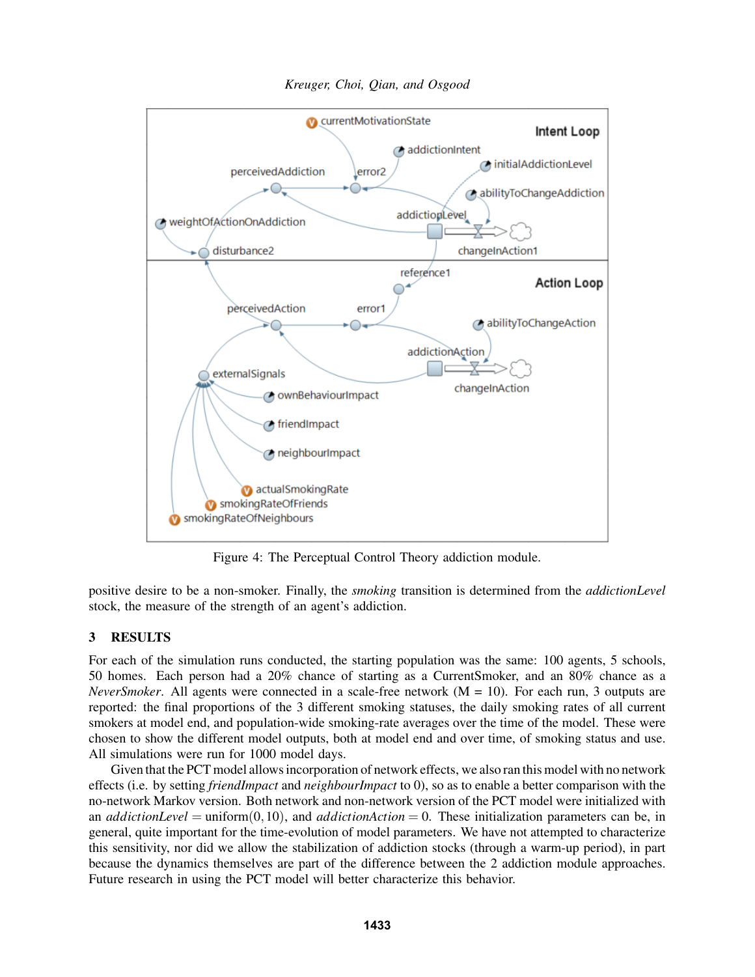

*Kreuger, Choi, Qian, and Osgood*

Figure 4: The Perceptual Control Theory addiction module.

positive desire to be a non-smoker. Finally, the *smoking* transition is determined from the *addictionLevel* stock, the measure of the strength of an agent's addiction.

# 3 RESULTS

For each of the simulation runs conducted, the starting population was the same: 100 agents, 5 schools, 50 homes. Each person had a 20% chance of starting as a CurrentSmoker, and an 80% chance as a *NeverSmoker*. All agents were connected in a scale-free network (M = 10). For each run, 3 outputs are reported: the final proportions of the 3 different smoking statuses, the daily smoking rates of all current smokers at model end, and population-wide smoking-rate averages over the time of the model. These were chosen to show the different model outputs, both at model end and over time, of smoking status and use. All simulations were run for 1000 model days.

Given that the PCT model allows incorporation of network effects, we also ran this model with no network effects (i.e. by setting *friendImpact* and *neighbourImpact* to 0), so as to enable a better comparison with the no-network Markov version. Both network and non-network version of the PCT model were initialized with an *addictionLevel* = uniform $(0,10)$ , and *addictionAction* = 0. These initialization parameters can be, in general, quite important for the time-evolution of model parameters. We have not attempted to characterize this sensitivity, nor did we allow the stabilization of addiction stocks (through a warm-up period), in part because the dynamics themselves are part of the difference between the 2 addiction module approaches. Future research in using the PCT model will better characterize this behavior.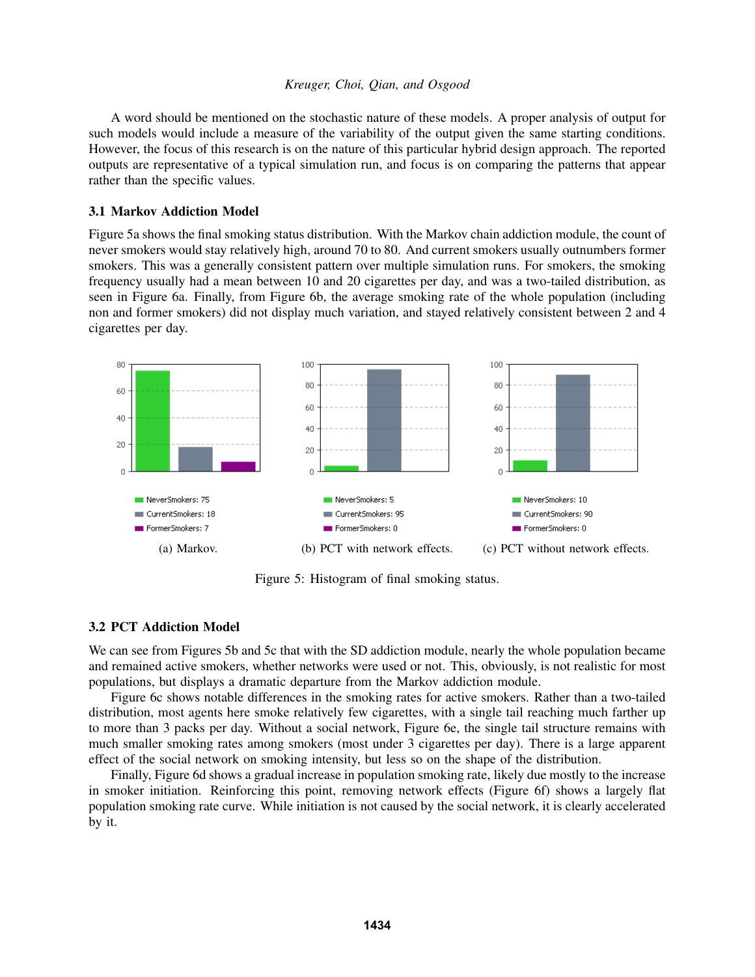A word should be mentioned on the stochastic nature of these models. A proper analysis of output for such models would include a measure of the variability of the output given the same starting conditions. However, the focus of this research is on the nature of this particular hybrid design approach. The reported outputs are representative of a typical simulation run, and focus is on comparing the patterns that appear rather than the specific values.

### 3.1 Markov Addiction Model

Figure 5a shows the final smoking status distribution. With the Markov chain addiction module, the count of never smokers would stay relatively high, around 70 to 80. And current smokers usually outnumbers former smokers. This was a generally consistent pattern over multiple simulation runs. For smokers, the smoking frequency usually had a mean between 10 and 20 cigarettes per day, and was a two-tailed distribution, as seen in Figure 6a. Finally, from Figure 6b, the average smoking rate of the whole population (including non and former smokers) did not display much variation, and stayed relatively consistent between 2 and 4 cigarettes per day.



Figure 5: Histogram of final smoking status.

## 3.2 PCT Addiction Model

We can see from Figures 5b and 5c that with the SD addiction module, nearly the whole population became and remained active smokers, whether networks were used or not. This, obviously, is not realistic for most populations, but displays a dramatic departure from the Markov addiction module.

Figure 6c shows notable differences in the smoking rates for active smokers. Rather than a two-tailed distribution, most agents here smoke relatively few cigarettes, with a single tail reaching much farther up to more than 3 packs per day. Without a social network, Figure 6e, the single tail structure remains with much smaller smoking rates among smokers (most under 3 cigarettes per day). There is a large apparent effect of the social network on smoking intensity, but less so on the shape of the distribution.

Finally, Figure 6d shows a gradual increase in population smoking rate, likely due mostly to the increase in smoker initiation. Reinforcing this point, removing network effects (Figure 6f) shows a largely flat population smoking rate curve. While initiation is not caused by the social network, it is clearly accelerated by it.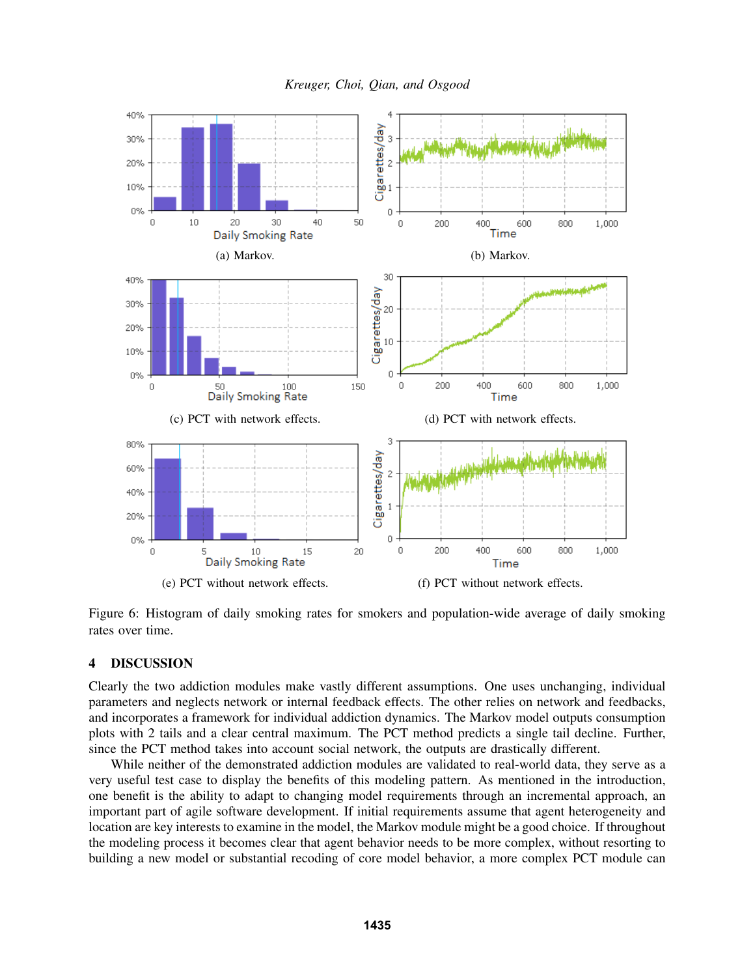



Figure 6: Histogram of daily smoking rates for smokers and population-wide average of daily smoking rates over time.

### 4 DISCUSSION

Clearly the two addiction modules make vastly different assumptions. One uses unchanging, individual parameters and neglects network or internal feedback effects. The other relies on network and feedbacks, and incorporates a framework for individual addiction dynamics. The Markov model outputs consumption plots with 2 tails and a clear central maximum. The PCT method predicts a single tail decline. Further, since the PCT method takes into account social network, the outputs are drastically different.

While neither of the demonstrated addiction modules are validated to real-world data, they serve as a very useful test case to display the benefits of this modeling pattern. As mentioned in the introduction, one benefit is the ability to adapt to changing model requirements through an incremental approach, an important part of agile software development. If initial requirements assume that agent heterogeneity and location are key interests to examine in the model, the Markov module might be a good choice. If throughout the modeling process it becomes clear that agent behavior needs to be more complex, without resorting to building a new model or substantial recoding of core model behavior, a more complex PCT module can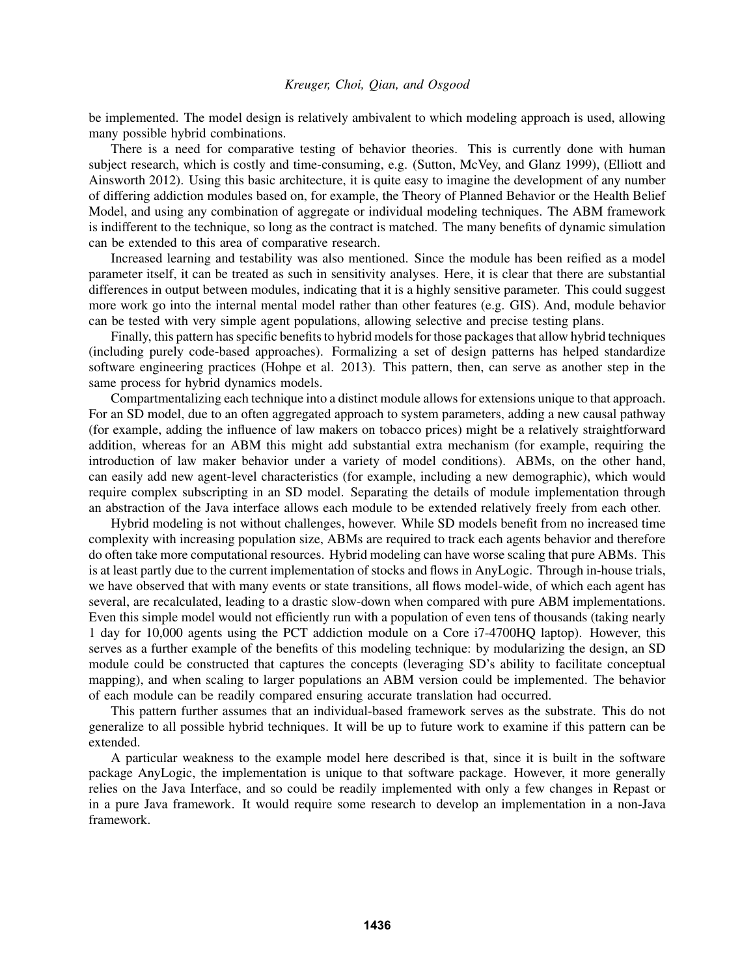be implemented. The model design is relatively ambivalent to which modeling approach is used, allowing many possible hybrid combinations.

There is a need for comparative testing of behavior theories. This is currently done with human subject research, which is costly and time-consuming, e.g. (Sutton, McVey, and Glanz 1999), (Elliott and Ainsworth 2012). Using this basic architecture, it is quite easy to imagine the development of any number of differing addiction modules based on, for example, the Theory of Planned Behavior or the Health Belief Model, and using any combination of aggregate or individual modeling techniques. The ABM framework is indifferent to the technique, so long as the contract is matched. The many benefits of dynamic simulation can be extended to this area of comparative research.

Increased learning and testability was also mentioned. Since the module has been reified as a model parameter itself, it can be treated as such in sensitivity analyses. Here, it is clear that there are substantial differences in output between modules, indicating that it is a highly sensitive parameter. This could suggest more work go into the internal mental model rather than other features (e.g. GIS). And, module behavior can be tested with very simple agent populations, allowing selective and precise testing plans.

Finally, this pattern has specific benefits to hybrid models for those packages that allow hybrid techniques (including purely code-based approaches). Formalizing a set of design patterns has helped standardize software engineering practices (Hohpe et al. 2013). This pattern, then, can serve as another step in the same process for hybrid dynamics models.

Compartmentalizing each technique into a distinct module allows for extensions unique to that approach. For an SD model, due to an often aggregated approach to system parameters, adding a new causal pathway (for example, adding the influence of law makers on tobacco prices) might be a relatively straightforward addition, whereas for an ABM this might add substantial extra mechanism (for example, requiring the introduction of law maker behavior under a variety of model conditions). ABMs, on the other hand, can easily add new agent-level characteristics (for example, including a new demographic), which would require complex subscripting in an SD model. Separating the details of module implementation through an abstraction of the Java interface allows each module to be extended relatively freely from each other.

Hybrid modeling is not without challenges, however. While SD models benefit from no increased time complexity with increasing population size, ABMs are required to track each agents behavior and therefore do often take more computational resources. Hybrid modeling can have worse scaling that pure ABMs. This is at least partly due to the current implementation of stocks and flows in AnyLogic. Through in-house trials, we have observed that with many events or state transitions, all flows model-wide, of which each agent has several, are recalculated, leading to a drastic slow-down when compared with pure ABM implementations. Even this simple model would not efficiently run with a population of even tens of thousands (taking nearly 1 day for 10,000 agents using the PCT addiction module on a Core i7-4700HQ laptop). However, this serves as a further example of the benefits of this modeling technique: by modularizing the design, an SD module could be constructed that captures the concepts (leveraging SD's ability to facilitate conceptual mapping), and when scaling to larger populations an ABM version could be implemented. The behavior of each module can be readily compared ensuring accurate translation had occurred.

This pattern further assumes that an individual-based framework serves as the substrate. This do not generalize to all possible hybrid techniques. It will be up to future work to examine if this pattern can be extended.

A particular weakness to the example model here described is that, since it is built in the software package AnyLogic, the implementation is unique to that software package. However, it more generally relies on the Java Interface, and so could be readily implemented with only a few changes in Repast or in a pure Java framework. It would require some research to develop an implementation in a non-Java framework.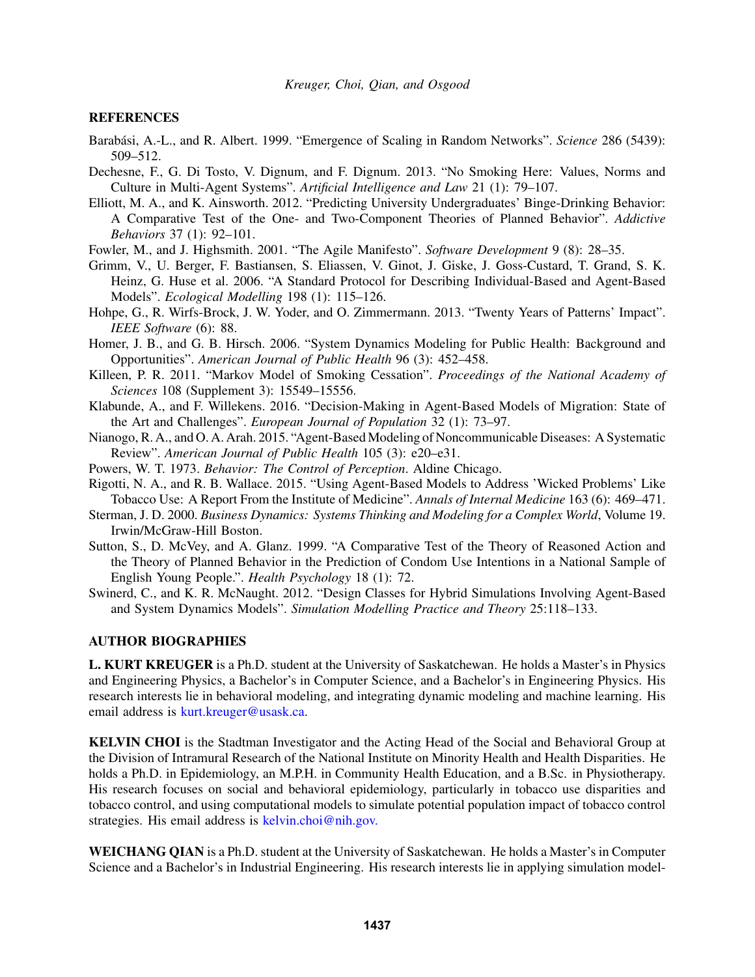### **REFERENCES**

- Barabási, A.-L., and R. Albert. 1999. "Emergence of Scaling in Random Networks". *Science* 286 (5439): 509–512.
- Dechesne, F., G. Di Tosto, V. Dignum, and F. Dignum. 2013. "No Smoking Here: Values, Norms and Culture in Multi-Agent Systems". *Artificial Intelligence and Law* 21 (1): 79–107.
- Elliott, M. A., and K. Ainsworth. 2012. "Predicting University Undergraduates' Binge-Drinking Behavior: A Comparative Test of the One- and Two-Component Theories of Planned Behavior". *Addictive Behaviors* 37 (1): 92–101.
- Fowler, M., and J. Highsmith. 2001. "The Agile Manifesto". *Software Development* 9 (8): 28–35.
- Grimm, V., U. Berger, F. Bastiansen, S. Eliassen, V. Ginot, J. Giske, J. Goss-Custard, T. Grand, S. K. Heinz, G. Huse et al. 2006. "A Standard Protocol for Describing Individual-Based and Agent-Based Models". *Ecological Modelling* 198 (1): 115–126.
- Hohpe, G., R. Wirfs-Brock, J. W. Yoder, and O. Zimmermann. 2013. "Twenty Years of Patterns' Impact". *IEEE Software* (6): 88.
- Homer, J. B., and G. B. Hirsch. 2006. "System Dynamics Modeling for Public Health: Background and Opportunities". *American Journal of Public Health* 96 (3): 452–458.
- Killeen, P. R. 2011. "Markov Model of Smoking Cessation". *Proceedings of the National Academy of Sciences* 108 (Supplement 3): 15549–15556.
- Klabunde, A., and F. Willekens. 2016. "Decision-Making in Agent-Based Models of Migration: State of the Art and Challenges". *European Journal of Population* 32 (1): 73–97.
- Nianogo, R. A., and O. A. Arah. 2015. "Agent-Based Modeling of Noncommunicable Diseases: A Systematic Review". *American Journal of Public Health* 105 (3): e20–e31.
- Powers, W. T. 1973. *Behavior: The Control of Perception*. Aldine Chicago.
- Rigotti, N. A., and R. B. Wallace. 2015. "Using Agent-Based Models to Address 'Wicked Problems' Like Tobacco Use: A Report From the Institute of Medicine". *Annals of Internal Medicine* 163 (6): 469–471.
- Sterman, J. D. 2000. *Business Dynamics: Systems Thinking and Modeling for a Complex World*, Volume 19. Irwin/McGraw-Hill Boston.
- Sutton, S., D. McVey, and A. Glanz. 1999. "A Comparative Test of the Theory of Reasoned Action and the Theory of Planned Behavior in the Prediction of Condom Use Intentions in a National Sample of English Young People.". *Health Psychology* 18 (1): 72.
- Swinerd, C., and K. R. McNaught. 2012. "Design Classes for Hybrid Simulations Involving Agent-Based and System Dynamics Models". *Simulation Modelling Practice and Theory* 25:118–133.

## AUTHOR BIOGRAPHIES

L. KURT KREUGER is a Ph.D. student at the University of Saskatchewan. He holds a Master's in Physics and Engineering Physics, a Bachelor's in Computer Science, and a Bachelor's in Engineering Physics. His research interests lie in behavioral modeling, and integrating dynamic modeling and machine learning. His email address is kurt.kreuger@usask.ca.

KELVIN CHOI is the Stadtman Investigator and the Acting Head of the Social and Behavioral Group at the Division of Intramural Research of the National Institute on Minority Health and Health Disparities. He holds a Ph.D. in Epidemiology, an M.P.H. in Community Health Education, and a B.Sc. in Physiotherapy. His research focuses on social and behavioral epidemiology, particularly in tobacco use disparities and tobacco control, and using computational models to simulate potential population impact of tobacco control strategies. His email address is kelvin.choi@nih.gov.

WEICHANG QIAN is a Ph.D. student at the University of Saskatchewan. He holds a Master's in Computer Science and a Bachelor's in Industrial Engineering. His research interests lie in applying simulation model-